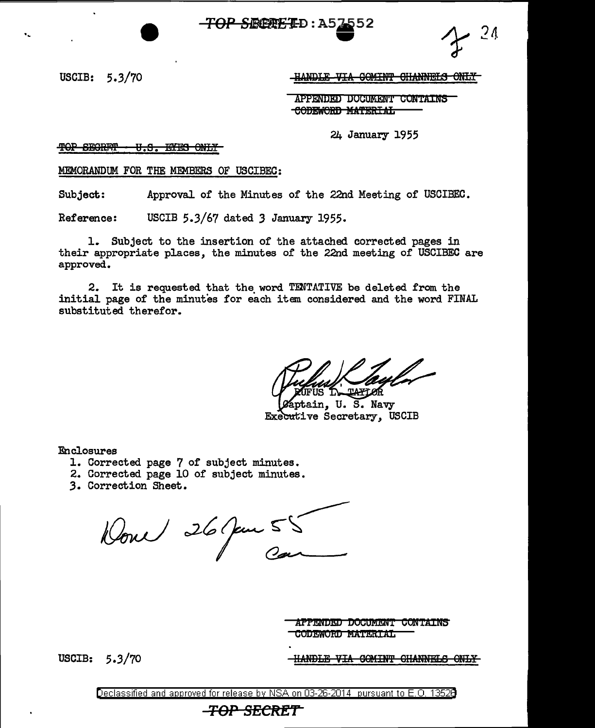TOP SECRETD: A5

24

USCIB:  $5.3/70$ 

HANDLE VIA COMINT CHANNELS ONLY

APPENDED DOCUMENT CONTAINS CODEWORD MATERIAL

24 January 1955

<del>TOP SECRITT</del> <del>U.S. EYES ONLY</del>

MEMORANDUM FOR THE MEMBERS OF USCIBEC:

Subject: Approval of the Minutes of the 22nd Meeting of USCIBEC.

Reference: USCIB 5.3/67 dated 3 January 1955.

1. Subject to the insertion of the attached corrected pages in their appropriate places, the minutes of the 22nd meeting of USCIBEC are approved.

2. It is requested that the word TENTATIVE be deleted from the initial page of the minutes for each item considered and the word FINAL substituted therefor.

ptain, U. S. Navv Executive Secretary, USCIB

Enclosures

- 1. Corrected page 7 of subject minutes.
- 2. Corrected page 10 of subject minutes.
- 3. Correction Sheet.

Donce 26 juin 55

**APPENDED DOCUMENT CONTAINS** CODEWORD MATERIAL

USCIB:  $5.3/70$ 

HANDLE VIA COMINT CHANNELS ONLY

Declassified and approved for release by NSA on 03-26-2014 pursuant to E.O. 13526

# <del>-TOP SECRET</del>